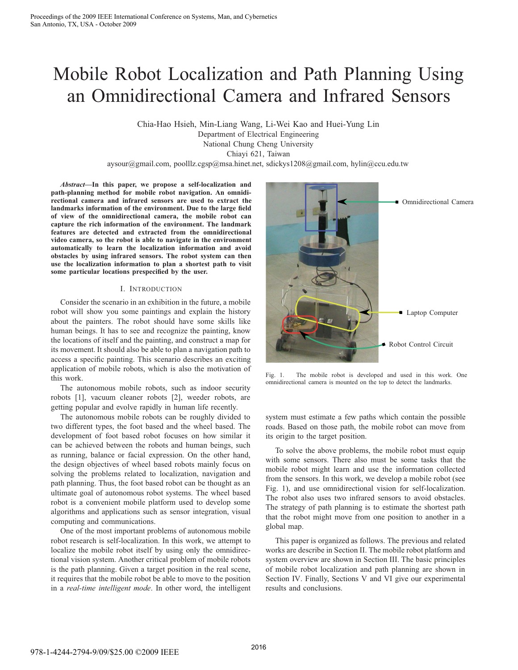# Mobile Robot Localization and Path Planning Using an Omnidirectional Camera and Infrared Sensors

Chia-Hao Hsieh, Min-Liang Wang, Li-Wei Kao and Huei-Yung Lin Department of Electrical Engineering National Chung Cheng University Chiayi 621, Taiwan

aysour@gmail.com, poolllz.cgsp@msa.hinet.net, sdickys1208@gmail.com, hylin@ccu.edu.tw

*Abstract***—In this paper, we propose a self-localization and path-planning method for mobile robot navigation. An omnidirectional camera and infrared sensors are used to extract the landmarks information of the environment. Due to the large field of view of the omnidirectional camera, the mobile robot can capture the rich information of the environment. The landmark features are detected and extracted from the omnidirectional video camera, so the robot is able to navigate in the environment automatically to learn the localization information and avoid obstacles by using infrared sensors. The robot system can then use the localization information to plan a shortest path to visit some particular locations prespecified by the user.**

#### I. INTRODUCTION

Consider the scenario in an exhibition in the future, a mobile robot will show you some paintings and explain the history about the painters. The robot should have some skills like human beings. It has to see and recognize the painting, know the locations of itself and the painting, and construct a map for its movement. It should also be able to plan a navigation path to access a specific painting. This scenario describes an exciting application of mobile robots, which is also the motivation of this work.

The autonomous mobile robots, such as indoor security robots [1], vacuum cleaner robots [2], weeder robots, are getting popular and evolve rapidly in human life recently.

The autonomous mobile robots can be roughly divided to two different types, the foot based and the wheel based. The development of foot based robot focuses on how similar it can be achieved between the robots and human beings, such as running, balance or facial expression. On the other hand, the design objectives of wheel based robots mainly focus on solving the problems related to localization, navigation and path planning. Thus, the foot based robot can be thought as an ultimate goal of autonomous robot systems. The wheel based robot is a convenient mobile platform used to develop some algorithms and applications such as sensor integration, visual computing and communications.

One of the most important problems of autonomous mobile robot research is self-localization. In this work, we attempt to localize the mobile robot itself by using only the omnidirectional vision system. Another critical problem of mobile robots is the path planning. Given a target position in the real scene, it requires that the mobile robot be able to move to the position in a *real-time intelligent mode*. In other word, the intelligent



Fig. 1. The mobile robot is developed and used in this work. One omnidirectional camera is mounted on the top to detect the landmarks.

system must estimate a few paths which contain the possible roads. Based on those path, the mobile robot can move from its origin to the target position.

To solve the above problems, the mobile robot must equip with some sensors. There also must be some tasks that the mobile robot might learn and use the information collected from the sensors. In this work, we develop a mobile robot (see Fig. 1), and use omnidirectional vision for self-localization. The robot also uses two infrared sensors to avoid obstacles. The strategy of path planning is to estimate the shortest path that the robot might move from one position to another in a global map.

This paper is organized as follows. The previous and related works are describe in Section II. The mobile robot platform and system overview are shown in Section III. The basic principles of mobile robot localization and path planning are shown in Section IV. Finally, Sections V and VI give our experimental results and conclusions.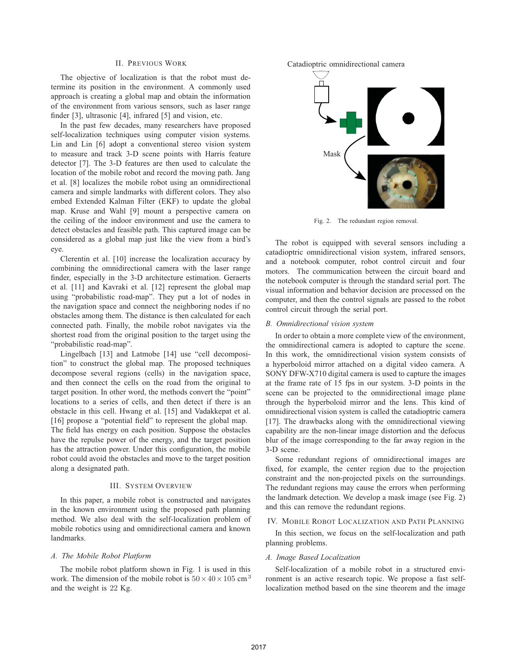# II. PREVIOUS WORK

The objective of localization is that the robot must determine its position in the environment. A commonly used approach is creating a global map and obtain the information of the environment from various sensors, such as laser range finder [3], ultrasonic [4], infrared [5] and vision, etc.

In the past few decades, many researchers have proposed self-localization techniques using computer vision systems. Lin and Lin [6] adopt a conventional stereo vision system to measure and track 3-D scene points with Harris feature detector [7]. The 3-D features are then used to calculate the location of the mobile robot and record the moving path. Jang et al. [8] localizes the mobile robot using an omnidirectional camera and simple landmarks with different colors. They also embed Extended Kalman Filter (EKF) to update the global map. Kruse and Wahl [9] mount a perspective camera on the ceiling of the indoor environment and use the camera to detect obstacles and feasible path. This captured image can be considered as a global map just like the view from a bird's eye.

Clerentin et al. [10] increase the localization accuracy by combining the omnidirectional camera with the laser range finder, especially in the 3-D architecture estimation. Geraerts et al. [11] and Kavraki et al. [12] represent the global map using "probabilistic road-map". They put a lot of nodes in the navigation space and connect the neighboring nodes if no obstacles among them. The distance is then calculated for each connected path. Finally, the mobile robot navigates via the shortest road from the original position to the target using the "probabilistic road-map".

Lingelbach [13] and Latmobe [14] use "cell decomposition" to construct the global map. The proposed techniques decompose several regions (cells) in the navigation space, and then connect the cells on the road from the original to target position. In other word, the methods convert the "point" locations to a series of cells, and then detect if there is an obstacle in this cell. Hwang et al. [15] and Vadakkepat et al. [16] propose a "potential field" to represent the global map. The field has energy on each position. Suppose the obstacles have the repulse power of the energy, and the target position has the attraction power. Under this configuration, the mobile robot could avoid the obstacles and move to the target position along a designated path.

#### III. SYSTEM OVERVIEW

In this paper, a mobile robot is constructed and navigates in the known environment using the proposed path planning method. We also deal with the self-localization problem of mobile robotics using and omnidirectional camera and known landmarks.

#### *A. The Mobile Robot Platform*

The mobile robot platform shown in Fig. 1 is used in this work. The dimension of the mobile robot is  $50 \times 40 \times 105$  cm<sup>3</sup> and the weight is 22 Kg.





Fig. 2. The redundant region removal.

The robot is equipped with several sensors including a catadioptric omnidirectional vision system, infrared sensors, and a notebook computer, robot control circuit and four motors. The communication between the circuit board and the notebook computer is through the standard serial port. The visual information and behavior decision are processed on the computer, and then the control signals are passed to the robot control circuit through the serial port.

#### *B. Omnidirectional vision system*

In order to obtain a more complete view of the environment, the omnidirectional camera is adopted to capture the scene. In this work, the omnidirectional vision system consists of a hyperboloid mirror attached on a digital video camera. A SONY DFW-X710 digital camera is used to capture the images at the frame rate of 15 fps in our system. 3-D points in the scene can be projected to the omnidirectional image plane through the hyperboloid mirror and the lens. This kind of omnidirectional vision system is called the catadioptric camera [17]. The drawbacks along with the omnidirectional viewing capability are the non-linear image distortion and the defocus blur of the image corresponding to the far away region in the 3-D scene.

Some redundant regions of omnidirectional images are fixed, for example, the center region due to the projection constraint and the non-projected pixels on the surroundings. The redundant regions may cause the errors when performing the landmark detection. We develop a mask image (see Fig. 2) and this can remove the redundant regions.

## IV. MOBILE ROBOT LOCALIZATION AND PATH PLANNING

In this section, we focus on the self-localization and path planning problems.

#### *A. Image Based Localization*

Self-localization of a mobile robot in a structured environment is an active research topic. We propose a fast selflocalization method based on the sine theorem and the image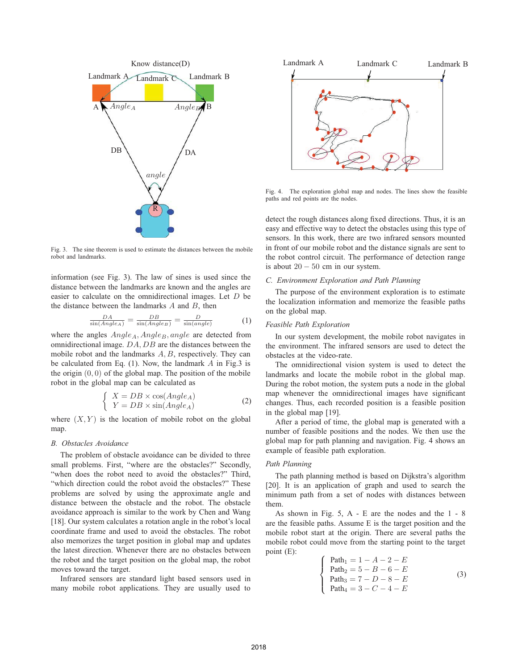

Fig. 3. The sine theorem is used to estimate the distances between the mobile robot and landmarks.

information (see Fig. 3). The law of sines is used since the distance between the landmarks are known and the angles are easier to calculate on the omnidirectional images. Let *D* be the distance between the landmarks *A* and *B*, then

$$
\frac{DA}{\sin(Angle_A)} = \frac{DB}{\sin(Angle_B)} = \frac{D}{\sin(angle)}\tag{1}
$$

where the angles  $Angle_A$ ,  $Angle_B$ , angle are detected from omnidirectional image. *DA, DB* are the distances between the mobile robot and the landmarks *A, B*, respectively. They can be calculated from Eq. (1). Now, the landmark *A* in Fig.3 is the origin (0*,* 0) of the global map. The position of the mobile robot in the global map can be calculated as

$$
\begin{cases}\nX = DB \times \cos(Angle_A) \\
Y = DB \times \sin(Angle_A)\n\end{cases} (2)
$$

where  $(X, Y)$  is the location of mobile robot on the global map.

#### *B. Obstacles Avoidance*

The problem of obstacle avoidance can be divided to three small problems. First, "where are the obstacles?" Secondly, "when does the robot need to avoid the obstacles?" Third, "which direction could the robot avoid the obstacles?" These problems are solved by using the approximate angle and distance between the obstacle and the robot. The obstacle avoidance approach is similar to the work by Chen and Wang [18]. Our system calculates a rotation angle in the robot's local coordinate frame and used to avoid the obstacles. The robot also memorizes the target position in global map and updates the latest direction. Whenever there are no obstacles between the robot and the target position on the global map, the robot moves toward the target.

Infrared sensors are standard light based sensors used in many mobile robot applications. They are usually used to



Fig. 4. The exploration global map and nodes. The lines show the feasible paths and red points are the nodes.

detect the rough distances along fixed directions. Thus, it is an easy and effective way to detect the obstacles using this type of sensors. In this work, there are two infrared sensors mounted in front of our mobile robot and the distance signals are sent to the robot control circuit. The performance of detection range is about  $20 - 50$  cm in our system.

#### *C. Environment Exploration and Path Planning*

The purpose of the environment exploration is to estimate the localization information and memorize the feasible paths on the global map.

# *Feasible Path Exploration*

In our system development, the mobile robot navigates in the environment. The infrared sensors are used to detect the obstacles at the video-rate.

The omnidirectional vision system is used to detect the landmarks and locate the mobile robot in the global map. During the robot motion, the system puts a node in the global map whenever the omnidirectional images have significant changes. Thus, each recorded position is a feasible position in the global map [19].

After a period of time, the global map is generated with a number of feasible positions and the nodes. We then use the global map for path planning and navigation. Fig. 4 shows an example of feasible path exploration.

#### *Path Planning*

The path planning method is based on Dijkstra's algorithm [20]. It is an application of graph and used to search the minimum path from a set of nodes with distances between them.

As shown in Fig. 5, A - E are the nodes and the 1 - 8 are the feasible paths. Assume E is the target position and the mobile robot start at the origin. There are several paths the mobile robot could move from the starting point to the target point (E):

$$
\begin{cases}\n \text{Path}_1 = 1 - A - 2 - E \\
 \text{Path}_2 = 5 - B - 6 - E \\
 \text{Path}_3 = 7 - D - 8 - E \\
 \text{Path}_4 = 3 - C - 4 - E\n\end{cases}
$$
\n(3)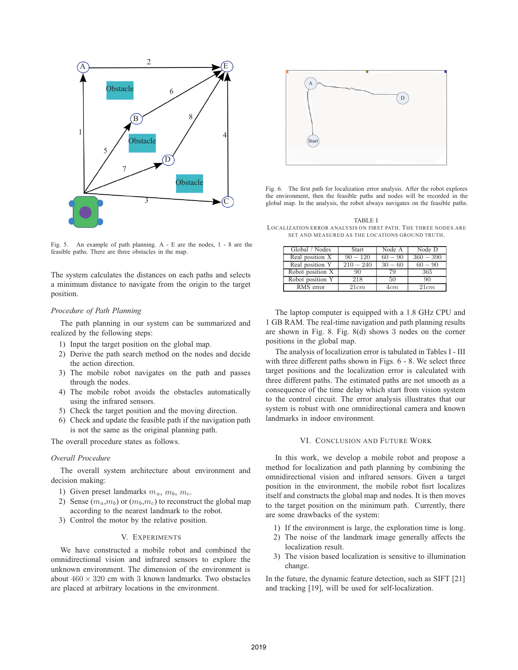

Fig. 5. An example of path planning. A - E are the nodes, 1 - 8 are the feasible paths. There are three obstacles in the map.

The system calculates the distances on each paths and selects a minimum distance to navigate from the origin to the target position.

## *Procedure of Path Planning*

The path planning in our system can be summarized and realized by the following steps:

- 1) Input the target position on the global map.
- 2) Derive the path search method on the nodes and decide the action direction.
- 3) The mobile robot navigates on the path and passes through the nodes.
- 4) The mobile robot avoids the obstacles automatically using the infrared sensors.
- 5) Check the target position and the moving direction.
- 6) Check and update the feasible path if the navigation path is not the same as the original planning path.

The overall procedure states as follows.

# *Overall Procedure*

The overall system architecture about environment and decision making:

- 1) Given preset landmarks  $m_a$ ,  $m_b$ ,  $m_c$ .
- 2) Sense  $(m_a, m_b)$  or  $(m_b, m_c)$  to reconstruct the global map according to the nearest landmark to the robot.
- 3) Control the motor by the relative position.

# V. EXPERIMENTS

We have constructed a mobile robot and combined the omnidirectional vision and infrared sensors to explore the unknown environment. The dimension of the environment is about  $460 \times 320$  cm with 3 known landmarks. Two obstacles are placed at arbitrary locations in the environment.



Fig. 6. The first path for localization error analysis. After the robot explores the environment, then the feasible paths and nodes will be recorded in the global map. In the analysis, the robot always navigates on the feasible paths.

TABLE I LOCALIZATION ERROR ANALYSIS ON FIRST PATH. THE THREE NODES ARE SET AND MEASURED AS THE LOCATIONS GROUND TRUTH.

| Global / Nodes         | Start       | Node A    | Node D      |
|------------------------|-------------|-----------|-------------|
| Real position X        | $90 - 120$  | $60 - 90$ | $360 - 390$ |
| Real position Y        | $210 - 240$ | $30 - 60$ | $60 - 90$   |
| Robot position X       | 90          | 79        | 365         |
| Robot position Y       | 218         | 50        | 90          |
| $\overline{RMS}$ error | 21cm        | 4cm       | 21cm        |

The laptop computer is equipped with a 1.8 GHz CPU and 1 GB RAM. The real-time navigation and path planning results are shown in Fig. 8. Fig. 8(d) shows 3 nodes on the corner positions in the global map.

The analysis of localization error is tabulated in Tables I - III with three different paths shown in Figs. 6 - 8. We select three target positions and the localization error is calculated with three different paths. The estimated paths are not smooth as a consequence of the time delay which start from vision system to the control circuit. The error analysis illustrates that our system is robust with one omnidirectional camera and known landmarks in indoor environment.

#### VI. CONCLUSION AND FUTURE WORK

In this work, we develop a mobile robot and propose a method for localization and path planning by combining the omnidirectional vision and infrared sensors. Given a target position in the environment, the mobile robot fisrt localizes itself and constructs the global map and nodes. It is then moves to the target position on the minimum path. Currently, there are some drawbacks of the system:

- 1) If the environment is large, the exploration time is long.
- 2) The noise of the landmark image generally affects the localization result.
- 3) The vision based localization is sensitive to illumination change.

In the future, the dynamic feature detection, such as SIFT [21] and tracking [19], will be used for self-localization.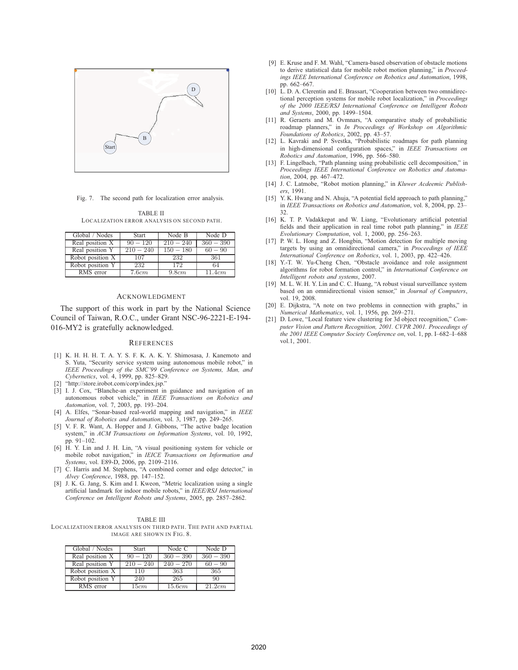

Fig. 7. The second path for localization error analysis.

TABLE II LOCALIZATION ERROR ANALYSIS ON SECOND PATH.

| Global / Nodes                | <b>Start</b> | Node B      | Node D      |
|-------------------------------|--------------|-------------|-------------|
| Real position $\overline{X}$  | $90 - 120$   | $210 - 240$ | $360 - 390$ |
| Real position Y               | $210 - 240$  | $150 - 180$ | $60 - 90$   |
| Robot position X              | 107          | 232         | -361        |
| Robot position Y              | 232          | 172         | 64          |
| $\overline{\text{RMS}}$ error | 7.6cm        | 9.8cm       | 11.4cm      |

#### ACKNOWLEDGMENT

The support of this work in part by the National Science Council of Taiwan, R.O.C., under Grant NSC-96-2221-E-194- 016-MY2 is gratefully acknowledged.

#### **REFERENCES**

- [1] K. H. H. H. T. A. Y. S. F. K. A. K. Y. Shimosasa, J. Kanemoto and S. Yuta, "Security service system using autonomous mobile robot," in *IEEE Proceedings of the SMC'99 Conference on Systems, Man, and Cybernetics*, vol. 4, 1999, pp. 825–829.
- [2] "http://store.irobot.com/corp/index.jsp."
- [3] I. J. Cox, "Blanche-an experiment in guidance and navigation of an autonomous robot vehicle," in *IEEE Transactions on Robotics and Automation*, vol. 7, 2003, pp. 193–204.
- [4] A. Elfes, "Sonar-based real-world mapping and navigation," in *IEEE Journal of Robotics and Automation*, vol. 3, 1987, pp. 249–265.
- [5] V. F. R. Want, A. Hopper and J. Gibbons, "The active badge location system," in *ACM Transactions on Information Systems*, vol. 10, 1992, pp. 91–102.
- [6] H. Y. Lin and J. H. Lin, "A visual positioning system for vehicle or mobile robot navigation," in *IEICE Transactions on Information and Systems*, vol. E89-D, 2006, pp. 2109–2116.
- [7] C. Harris and M. Stephens, "A combined corner and edge detector," in *Alvey Conference*, 1988, pp. 147–152.
- [8] J. K. G. Jang, S. Kim and I. Kweon, "Metric localization using a single artificial landmark for indoor mobile robots," in *IEEE/RSJ International Conference on Intelligent Robots and Systems*, 2005, pp. 2857–2862.

TABLE III LOCALIZATION ERROR ANALYSIS ON THIRD PATH. THE PATH AND PARTIAL IMAGE ARE SHOWN IN FIG. 8.

| Global / Nodes   | Start       | Node C      | Node D      |
|------------------|-------------|-------------|-------------|
| Real position X  | $90 - 120$  | $360 - 390$ | $360 - 390$ |
| Real position Y  | $210 - 240$ | $240 - 270$ | $60 - 90$   |
| Robot position X | 110         | 363         | 365         |
| Robot position Y | 240         | 265         | 90          |
| RMS error        | 15cm        | 15.6cm      | 21.2cm      |

- [9] E. Kruse and F. M. Wahl, "Camera-based observation of obstacle motions to derive statistical data for mobile robot motion planning," in *Proceedings IEEE International Conference on Robotics and Automation*, 1998, pp. 662–667.
- [10] L. D. A. Clerentin and E. Brassart, "Cooperation between two omnidirectional perception systems for mobile robot localization," in *Proceedings of the 2000 IEEE/RSJ International Conference on Intelligent Robots and Systems*, 2000, pp. 1499–1504.
- [11] R. Geraerts and M. Ovmnars, "A comparative study of probabilistic roadmap planners," in *In Proceedings of Workshop on Algorithmic Foundations of Robotics*, 2002, pp. 43–57.
- [12] L. Kavraki and P. Svestka, "Probabilistic roadmaps for path planning in high-dimensional configuration spaces," in *IEEE Transactions on Robotics and Automation*, 1996, pp. 566–580.
- [13] F. Lingelbach, "Path planning using probabilistic cell decomposition," in *Proceedings IEEE International Conference on Robotics and Automation*, 2004, pp. 467–472.
- [14] J. C. Latmobe, "Robot motion planning," in *Kluwer Acdeemic Publishers*, 1991.
- [15] Y. K. Hwang and N. Ahuja, "A potential field approach to path planning," in *IEEE Transactions on Robotics and Automation*, vol. 8, 2004, pp. 23– 32.
- [16] K. T. P. Vadakkepat and W. Liang, "Evolutionary artificial potential fields and their application in real time robot path planning," in *IEEE Evolutionary Computation*, vol. 1, 2000, pp. 256–263.
- [17] P. W. L. Hong and Z. Hongbin, "Motion detection for multiple moving targets by using an omnidirectional camera," in *Proceedings of IEEE International Conference on Robotics*, vol. 1, 2003, pp. 422–426.
- [18] Y.-T. W. Yu-Cheng Chen, "Obstacle avoidance and role assignment algorithms for robot formation control," in *International Conference on Intelligent robots and systems*, 2007.
- [19] M. L. W. H. Y. Lin and C. C. Huang, "A robust visual surveillance system based on an omnidirectional vision sensor," in *Journal of Computers*, vol. 19, 2008.
- [20] E. Dijkstra, "A note on two problems in connection with graphs," in *Numerical Mathematics*, vol. 1, 1956, pp. 269–271.
- [21] D. Lowe, "Local feature view clustering for 3d object recognition," *Computer Vision and Pattern Recognition, 2001. CVPR 2001. Proceedings of the 2001 IEEE Computer Society Conference on*, vol. 1, pp. I–682–I–688 vol.1, 2001.